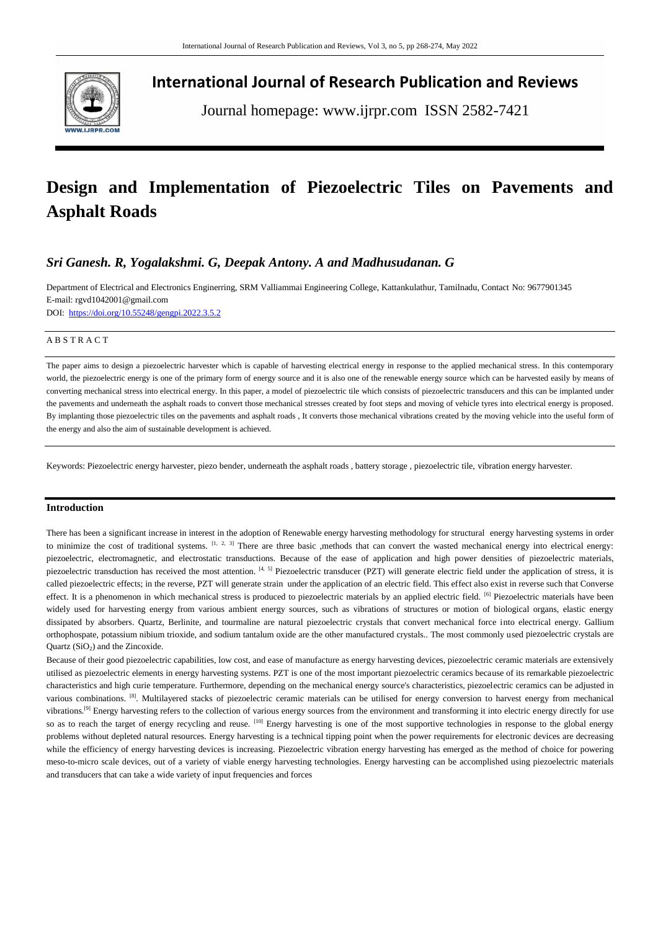

**International Journal of Research Publication and Reviews**

Journal homepage: www.ijrpr.com ISSN 2582-7421

# **Design and Implementation of Piezoelectric Tiles on Pavements and Asphalt Roads**

# *Sri Ganesh. R, Yogalakshmi. G, Deepak Antony. A and Madhusudanan. G*

Department of Electrical and Electronics Enginerring, SRM Valliammai Engineering College, Kattankulathur, Tamilnadu, Contact No: 9677901345 E-mail: [rgvd1042001@gmail.com](mailto:rgvd1042001@gmail.com)

DOI:<https://doi.org/10.55248/gengpi.2022.3.5.2>

#### A B S T R A C T

The paper aims to design a piezoelectric harvester which is capable of harvesting electrical energy in response to the applied mechanical stress. In this contemporary world, the piezoelectric energy is one of the primary form of energy source and it is also one of the renewable energy source which can be harvested easily by means of converting mechanical stress into electrical energy. In this paper, a model of piezoelectric tile which consists of piezoelectric transducers and this can be implanted under the pavements and underneath the asphalt roads to convert those mechanical stresses created by foot steps and moving of vehicle tyres into electrical energy is proposed. By implanting those piezoelectric tiles on the pavements and asphalt roads , It converts those mechanical vibrations created by the moving vehicle into the useful form of the energy and also the aim of sustainable development is achieved.

Keywords: Piezoelectric energy harvester, piezo bender, underneath the asphalt roads , battery storage , piezoelectric tile, vibration energy harvester.

## **Introduction**

There has been a significant increase in interest in the adoption of Renewable energy harvesting methodology for structural energy harvesting systems in order to minimize the cost of traditional systems.  $[1, 2, 3]$  There are three basic ,methods that can convert the wasted mechanical energy into electrical energy: piezoelectric, electromagnetic, and electrostatic transductions. Because of the ease of application and high power densities of piezoelectric materials, piezoelectric transduction has received the most attention. [4, 5] Piezoelectric transducer (PZT) will generate electric field under the application of stress, it is called piezoelectric effects; in the reverse, PZT will generate strain under the application of an electric field. This effect also exist in reverse such that Converse effect. It is a phenomenon in which mechanical stress is produced to piezoelectric materials by an applied electric field. [6] Piezoelectric materials have been widely used for harvesting energy from various ambient energy sources, such as vibrations of structures or motion of biological organs, elastic energy dissipated by absorbers. Quartz, Berlinite, and tourmaline are natural piezoelectric crystals that convert mechanical force into electrical energy. Gallium orthophospate, potassium nibium trioxide, and sodium tantalum oxide are the other manufactured crystals.. The most commonly used piezoelectric crystals are Quartz (SiO<sub>2</sub>) and the Zincoxide.

Because of their good piezoelectric capabilities, low cost, and ease of manufacture as energy harvesting devices, piezoelectric ceramic materials are extensively utilised as piezoelectric elements in energy harvesting systems. PZT is one of the most important piezoelectric ceramics because of its remarkable piezoelectric characteristics and high curie temperature. Furthermore, depending on the mechanical energy source's characteristics, piezoelectric ceramics can be adjusted in various combinations. [8]. Multilayered stacks of piezoelectric ceramic materials can be utilised for energy conversion to harvest energy from mechanical vibrations.<sup>[9]</sup> Energy harvesting refers to the collection of various energy sources from the environment and transforming it into electric energy directly for use so as to reach the target of energy recycling and reuse. [10] Energy harvesting is one of the most supportive technologies in response to the global energy problems without depleted natural resources. Energy harvesting is a technical tipping point when the power requirements for electronic devices are decreasing while the efficiency of energy harvesting devices is increasing. Piezoelectric vibration energy harvesting has emerged as the method of choice for powering meso-to-micro scale devices, out of a variety of viable energy harvesting technologies. Energy harvesting can be accomplished using piezoelectric materials and transducers that can take a wide variety of input frequencies and forces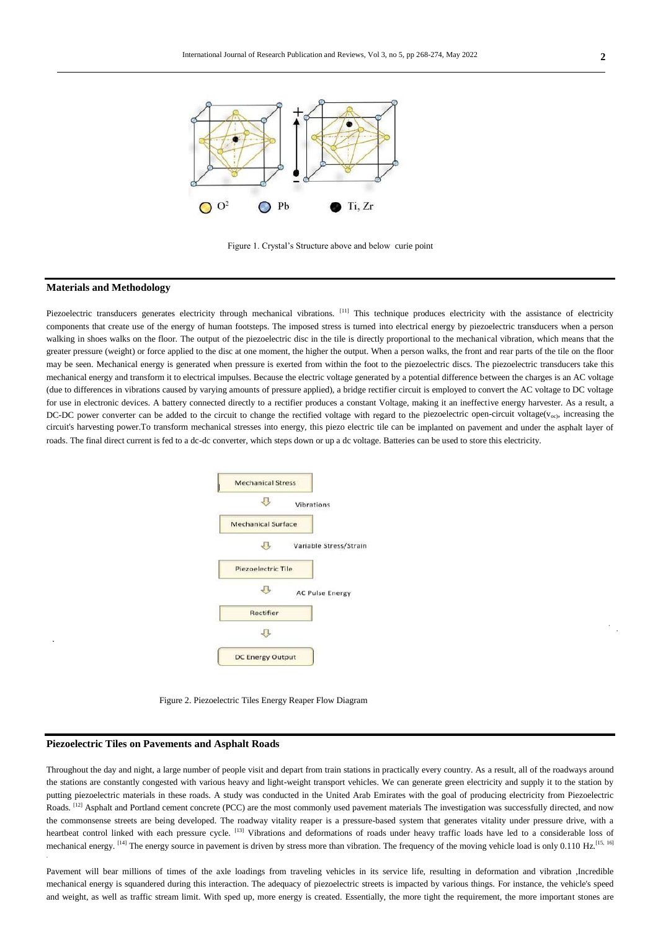

Figure 1. Crystal's Structure above and below curie point

#### **Materials and Methodology**

.

Piezoelectric transducers generates electricity through mechanical vibrations. <sup>[11]</sup> This technique produces electricity with the assistance of electricity components that create use of the energy of human footsteps. The imposed stress is turned into electrical energy by piezoelectric transducers when a person walking in shoes walks on the floor. The output of the piezoelectric disc in the tile is directly proportional to the mechanical vibration, which means that the greater pressure (weight) or force applied to the disc at one moment, the higher the output. When a person walks, the front and rear parts of the tile on the floor may be seen. Mechanical energy is generated when pressure is exerted from within the foot to the piezoelectric discs. The piezoelectric transducers take this mechanical energy and transform it to electrical impulses. Because the electric voltage generated by a potential difference between the charges is an AC voltage (due to differences in vibrations caused by varying amounts of pressure applied), a bridge rectifier circuit is employed to convert the AC voltage to DC voltage for use in electronic devices. A battery connected directly to a rectifier produces a constant Voltage, making it an ineffective energy harvester. As a result, a DC-DC power converter can be added to the circuit to change the rectified voltage with regard to the piezoelectric open-circuit voltage( $v_{\rm oo}$ ), increasing the circuit's harvesting power.To transform mechanical stresses into energy, this piezo electric tile can be implanted on pavement and under the asphalt layer of roads. The final direct current is fed to a dc-dc converter, which steps down or up a dc voltage. Batteries can be used to store this electricity.



Figure 2. Piezoelectric Tiles Energy Reaper Flow Diagram

## **Piezoelectric Tiles on Pavements and Asphalt Roads**

Throughout the day and night, a large number of people visit and depart from train stations in practically every country. As a result, all of the roadways around the stations are constantly congested with various heavy and light-weight transport vehicles. We can generate green electricity and supply it to the station by putting piezoelectric materials in these roads. A study was conducted in the United Arab Emirates with the goal of producing electricity from Piezoelectric Roads. <sup>[12]</sup> Asphalt and Portland cement concrete (PCC) are the most commonly used pavement materials The investigation was successfully directed, and now the commonsense streets are being developed. The roadway vitality reaper is a pressure-based system that generates vitality under pressure drive, with a heartbeat control linked with each pressure cycle. [13] Vibrations and deformations of roads under heavy traffic loads have led to a considerable loss of mechanical energy. <sup>[14]</sup> The energy source in pavement is driven by stress more than vibration. The frequency of the moving vehicle load is only 0.110 Hz.<sup>[15, 16]</sup>

Pavement will bear millions of times of the axle loadings from traveling vehicles in its service life, resulting in deformation and vibration ,Incredible mechanical energy is squandered during this interaction. The adequacy of piezoelectric streets is impacted by various things. For instance, the vehicle's speed and weight, as well as traffic stream limit. With sped up, more energy is created. Essentially, the more tight the requirement, the more important stones are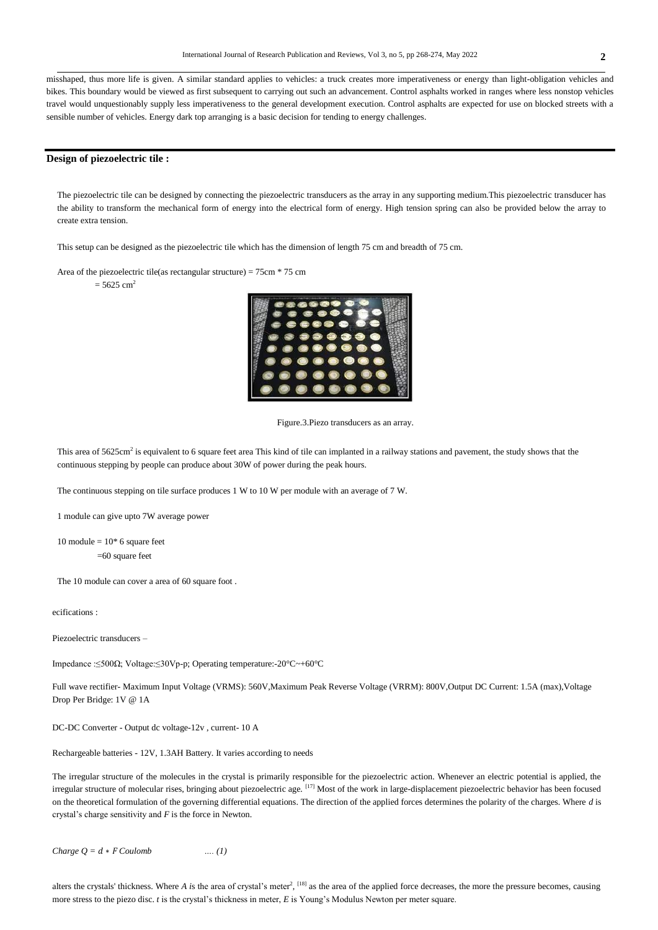**0** misshaped, thus more life is given. A similar standard applies to vehicles: a truck creates more imperativeness or energy than light-obligation vehicles and bikes. This boundary would be viewed as first subsequent to carrying out such an advancement. Control asphalts worked in ranges where less nonstop vehicles travel would unquestionably supply less imperativeness to the general development execution. Control asphalts are expected for use on blocked streets with a sensible number of vehicles. Energy dark top arranging is a basic decision for tending to energy challenges.

#### **Design of piezoelectric tile :**

The piezoelectric tile can be designed by connecting the piezoelectric transducers as the array in any supporting medium.This piezoelectric transducer has the ability to transform the mechanical form of energy into the electrical form of energy. High tension spring can also be provided below the array to create extra tension.

This setup can be designed as the piezoelectric tile which has the dimension of length 75 cm and breadth of 75 cm.

Area of the piezoelectric tile(as rectangular structure) = 75cm \* 75 cm

 $= 5625$  cm<sup>2</sup>



Figure.3.Piezo transducers as an array.

This area of 5625cm<sup>2</sup> is equivalent to 6 square feet area This kind of tile can implanted in a railway stations and pavement, the study shows that the continuous stepping by people can produce about 30W of power during the peak hours.

The continuous stepping on tile surface produces 1 W to 10 W per module with an average of 7 W.

1 module can give upto 7W average power

10 module  $= 10*6$  square feet =60 square feet

The 10 module can cover a area of 60 square foot .

ecifications :

Piezoelectric transducers –

Impedance :≤500Ω; Voltage:≤30Vp-p; Operating temperature:-20°C~+60°C

Full wave rectifier- Maximum Input Voltage (VRMS): 560V,Maximum Peak Reverse Voltage (VRRM): 800V,Output DC Current: 1.5A (max),Voltage Drop Per Bridge: 1V @ 1A

DC-DC Converter - Output dc voltage-12v , current- 10 A

Rechargeable batteries - 12V, 1.3AH Battery. It varies according to needs

The irregular structure of the molecules in the crystal is primarily responsible for the piezoelectric action. Whenever an electric potential is applied, the irregular structure of molecular rises, bringing about piezoelectric age. [17] Most of the work in large-displacement piezoelectric behavior has been focused on the theoretical formulation of the governing differential equations. The direction of the applied forces determines the polarity of the charges. Where *d* is crystal's charge sensitivity and *F* is the force in Newton.

*Charge Q =*  $d * F$  *Coulomb ….* (1)

alters the crystals' thickness. Where *A* is the area of crystal's meter<sup>2</sup>, <sup>[18]</sup> as the area of the applied force decreases, the more the pressure becomes, causing more stress to the piezo disc. *t* is the crystal's thickness in meter, *E* is Young's Modulus Newton per meter square.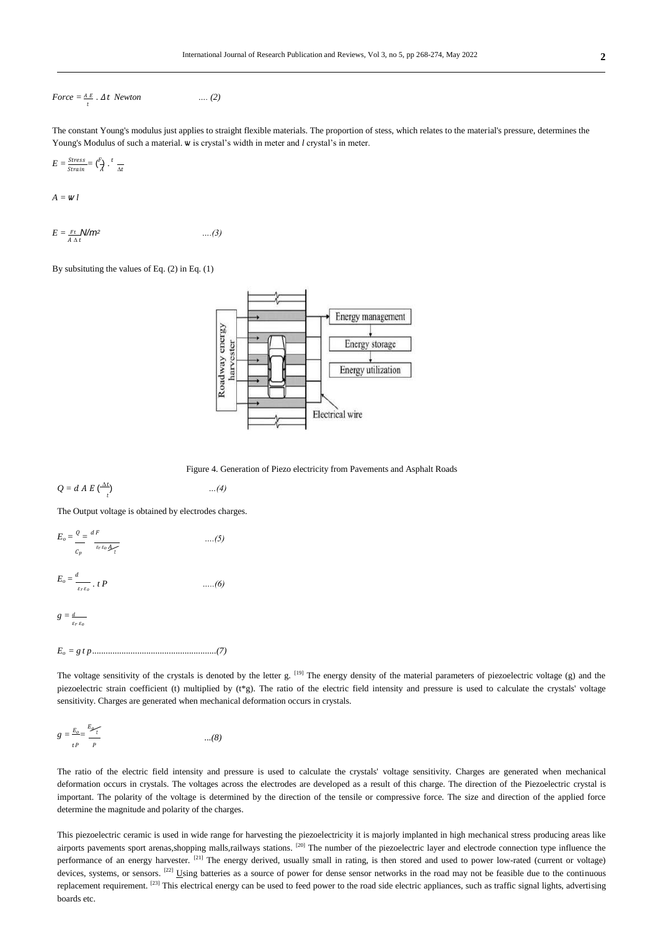$$
Force = \frac{AE}{t} \cdot \Delta t \; Newton \qquad \qquad \dots (2)
$$

The constant Young's modulus just applies to straight flexible materials. The proportion of stess, which relates to the material's pressure, determines the Young's Modulus of such a material. ѡ is crystal's width in meter and *l* crystal's in meter.

$$
E = \frac{Stress}{Strain} = {F \choose A} \cdot \frac{t}{\Delta t}
$$

 $A = W l$ 

$$
E = \frac{Ft}{A \Delta t} \mathcal{N} m^2 \qquad \qquad \dots (3)
$$

By subsituting the values of Eq. (2) in Eq. (1)



Figure 4. Generation of Piezo electricity from Pavements and Asphalt Roads

$$
Q = d A E \left(\frac{\Delta t}{t}\right) \qquad \qquad \dots (4)
$$

The Output voltage is obtained by electrodes charges.

$$
E_o = \frac{q}{c_p} = \frac{dF}{\varepsilon_r \varepsilon_o A_f}
$$
 ....(5)  

$$
E_o = \frac{d}{\varepsilon_r \varepsilon_o} \cdot t \cdot P
$$
 ....(6)  

$$
g = \frac{d}{\varepsilon_r \varepsilon_o}
$$

*Eo = g t p.......................................................(7)*

The voltage sensitivity of the crystals is denoted by the letter g.  $^{[19]}$  The energy density of the material parameters of piezoelectric voltage (g) and the piezoelectric strain coefficient (t) multiplied by ( $t * g$ ). The ratio of the electric field intensity and pressure is used to calculate the crystals' voltage sensitivity. Charges are generated when mechanical deformation occurs in crystals.

$$
g = \frac{E_o}{t} = \frac{E_p}{p} \tag{8}
$$

The ratio of the electric field intensity and pressure is used to calculate the crystals' voltage sensitivity. Charges are generated when mechanical deformation occurs in crystals. The voltages across the electrodes are developed as a result of this charge. The direction of the Piezoelectric crystal is important. The polarity of the voltage is determined by the direction of the tensile or compressive force. The size and direction of the applied force determine the magnitude and polarity of the charges.

This piezoelectric ceramic is used in wide range for harvesting the piezoelectricity it is majorly implanted in high mechanical stress producing areas like airports pavements sport arenas,shopping malls,railways stations. [20] The number of the piezoelectric layer and electrode connection type influence the performance of an energy harvester. <sup>[21]</sup> The energy derived, usually small in rating, is then stored and used to power low-rated (current or voltage) devices, systems, or sensors. <sup>[22]</sup> Using batteries as a source of power for dense sensor networks in the road may not be feasible due to the continuous replacement requirement. <sup>[23]</sup> This electrical energy can be used to feed power to the road side electric appliances, such as traffic signal lights, advertising boards etc.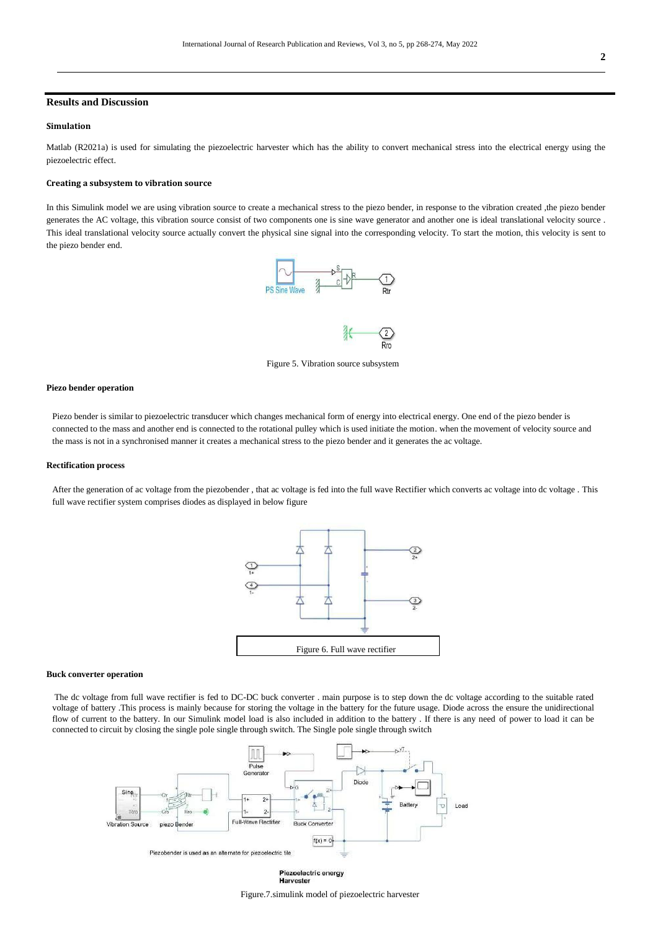# **Results and Discussion**

#### **Simulation**

Matlab (R2021a) is used for simulating the piezoelectric harvester which has the ability to convert mechanical stress into the electrical energy using the piezoelectric effect.

#### **Creating a subsystem to vibration source**

In this Simulink model we are using vibration source to create a mechanical stress to the piezo bender, in response to the vibration created ,the piezo bender generates the AC voltage, this vibration source consist of two components one is sine wave generator and another one is ideal translational velocity source . This ideal translational velocity source actually convert the physical sine signal into the corresponding velocity. To start the motion, this velocity is sent to the piezo bender end.



Figure 5. Vibration source subsystem

#### **Piezo bender operation**

Piezo bender is similar to piezoelectric transducer which changes mechanical form of energy into electrical energy. One end of the piezo bender is connected to the mass and another end is connected to the rotational pulley which is used initiate the motion. when the movement of velocity source and the mass is not in a synchronised manner it creates a mechanical stress to the piezo bender and it generates the ac voltage.

#### **Rectification process**

After the generation of ac voltage from the piezobender , that ac voltage is fed into the full wave Rectifier which converts ac voltage into dc voltage . This full wave rectifier system comprises diodes as displayed in below figure



#### **Buck converter operation**

The dc voltage from full wave rectifier is fed to DC-DC buck converter . main purpose is to step down the dc voltage according to the suitable rated voltage of battery .This process is mainly because for storing the voltage in the battery for the future usage. Diode across the ensure the unidirectional flow of current to the battery. In our Simulink model load is also included in addition to the battery . If there is any need of power to load it can be connected to circuit by closing the single pole single through switch. The Single pole single through switch



Piezoelectric energy Harvester

Figure.7.simulink model of piezoelectric harvester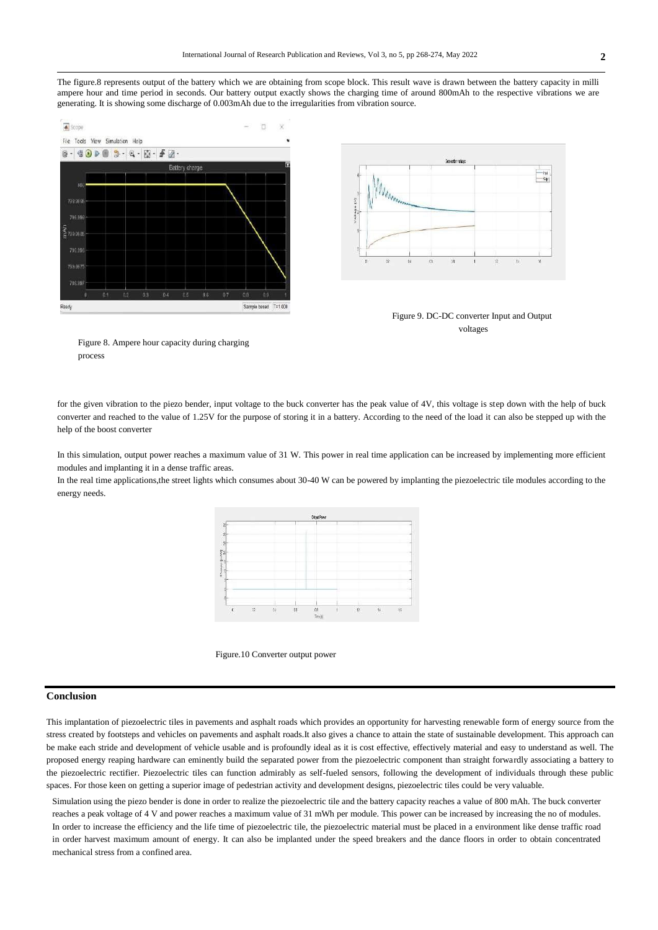The figure.8 represents output of the battery which we are obtaining from scope block. This result wave is drawn between the battery capacity in milli ampere hour and time period in seconds. Our battery output exactly shows the charging time of around 800mAh to the respective vibrations we are generating. It is showing some discharge of 0.003mAh due to the irregularities from vibration source.







Figure 8. Ampere hour capacity during charging process

for the given vibration to the piezo bender, input voltage to the buck converter has the peak value of 4V, this voltage is step down with the help of buck converter and reached to the value of 1.25V for the purpose of storing it in a battery. According to the need of the load it can also be stepped up with the help of the boost converter

In this simulation, output power reaches a maximum value of 31 W. This power in real time application can be increased by implementing more efficient modules and implanting it in a dense traffic areas.

In the real time applications,the street lights which consumes about 30-40 W can be powered by implanting the piezoelectric tile modules according to the energy needs.





# **Conclusion**

This implantation of piezoelectric tiles in pavements and asphalt roads which provides an opportunity for harvesting renewable form of energy source from the stress created by footsteps and vehicles on pavements and asphalt roads.It also gives a chance to attain the state of sustainable development. This approach can be make each stride and development of vehicle usable and is profoundly ideal as it is cost effective, effectively material and easy to understand as well. The proposed energy reaping hardware can eminently build the separated power from the piezoelectric component than straight forwardly associating a battery to the piezoelectric rectifier. Piezoelectric tiles can function admirably as self-fueled sensors, following the development of individuals through these public spaces. For those keen on getting a superior image of pedestrian activity and development designs, piezoelectric tiles could be very valuable.

Simulation using the piezo bender is done in order to realize the piezoelectric tile and the battery capacity reaches a value of 800 mAh. The buck converter reaches a peak voltage of 4 V and power reaches a maximum value of 31 mWh per module. This power can be increased by increasing the no of modules. In order to increase the efficiency and the life time of piezoelectric tile, the piezoelectric material must be placed in a environment like dense traffic road in order harvest maximum amount of energy. It can also be implanted under the speed breakers and the dance floors in order to obtain concentrated mechanical stress from a confined area.